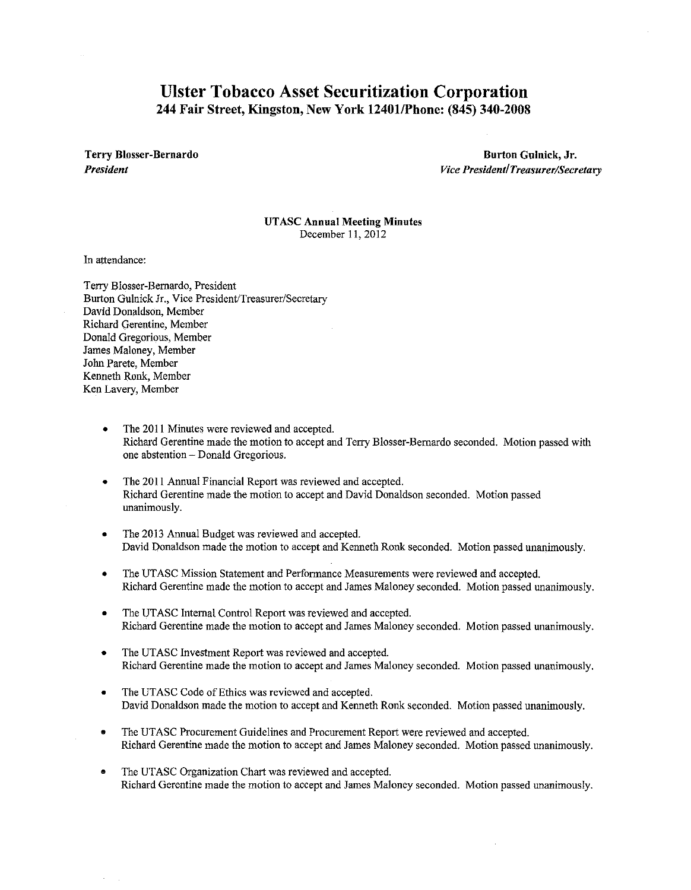## Ulster Tobacco Asset Securitization Corporation 244 Fair Street, Kingston, New York 12401/Phone: (845) 340-2008

Terry Blosser-Bernardo *President* 

Burton Gulnick, Jr. *Vice President/Treasurer/Secretary* 

## UTASC Annual Meeting Minutes December II, 2012

In attendance:

Terry Blosser-Bernardo, President Burton Gulnick Jr., Vice President/Treasurer/Secretary David Donaldson, Member Ricbard Gerentine, Member Donald Gregorious, Member James Maloney, Member John Parete, Member Kenneth Ronk, Member Ken Lavery, Member

- The 2011 Minutes were reviewed and accepted. Richard Gerentine made the motion to accept and Terry Blosser-Bernardo seconded. Motion passed with one abstention - Donald Gregorious.
- The 2011 Annual Financial Report was reviewed and accepted. Richard Gerentine made the motion to accept and David Donaldson seconded. Motion passed unanimously.
- The 2013 Annual Budget was reviewed and accepted. David Donaldson made the motion to accept and Kenneth Ronk seconded. Motion passed unanimously.
- The UTASC Mission Statement and Performance Measurements were reviewed and accepted. Richard Gerentine made the motion to accept and James Maloney seconded. Motion passed unanimously.
- The UTASC Internal Control Report was reviewed and accepted. Richard Gerentine made the motion to accept and James Maloney seconded. Motion passed unanimously.
- The UTASC Investment Report was reviewed and accepted. Richard Gerentine made the motion to accept and James Maloney seconded. Motion passed unanimously.
- The UTASC Code of Ethics was reviewed and accepted. David Donaldson made the motion to accept and Kenneth Ronk seconded. Motion passed unanimously.
- The UT ASC Procurement Guidelines and Procurement Report were reviewed and accepted. Richard Gerentine made the motion to accept and James Maloney seconded. Motion passed unanimously.
- The UTASC Organization Chart was reviewed and accepted. Richard Gerentine made the motion to accept and James Maloney seconded. Motion passed unanimously.